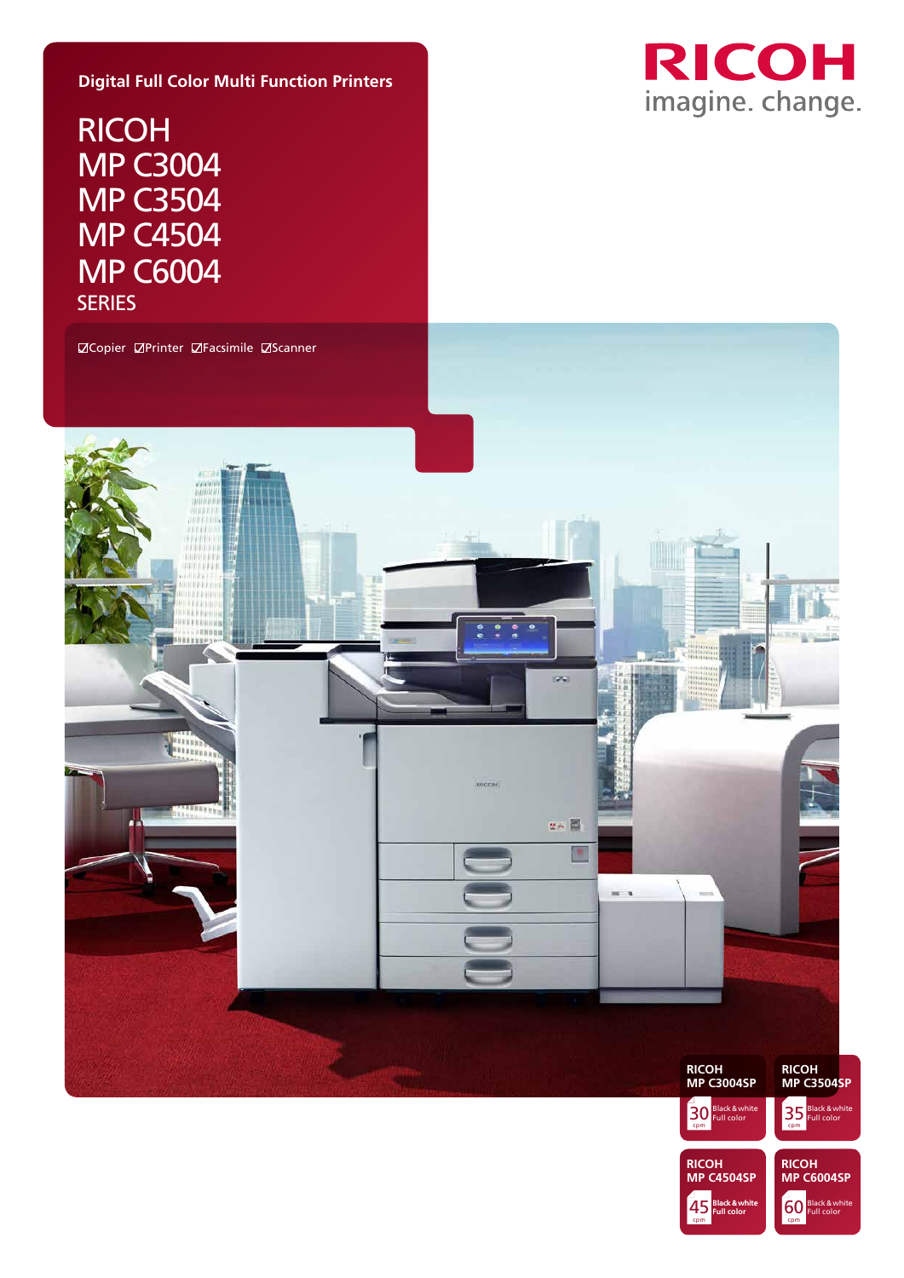#### **Digital Full Color Multi Function Printers**

RICOH MP C3004 MP C3504 MP C4504 MP C6004 **SERIES** 



cpm 60 Black & white

45 Black & white 60

cpm

**RICOH MP C4504SP** **RICOH MP C6004SP**

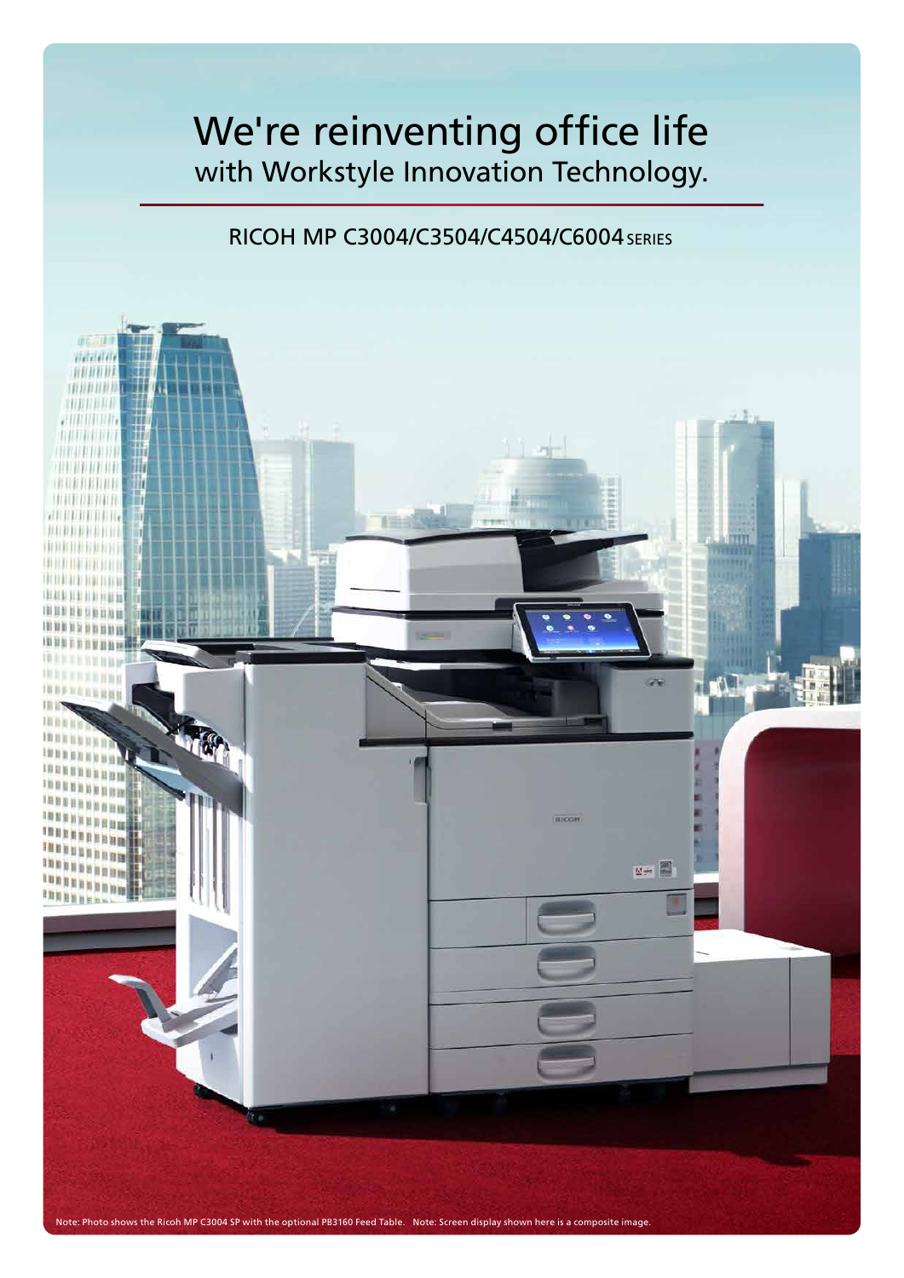# We're reinventing office life with Workstyle Innovation Technology.

### RICOH MP C3004/C3504/C4504/C6004 SERIES

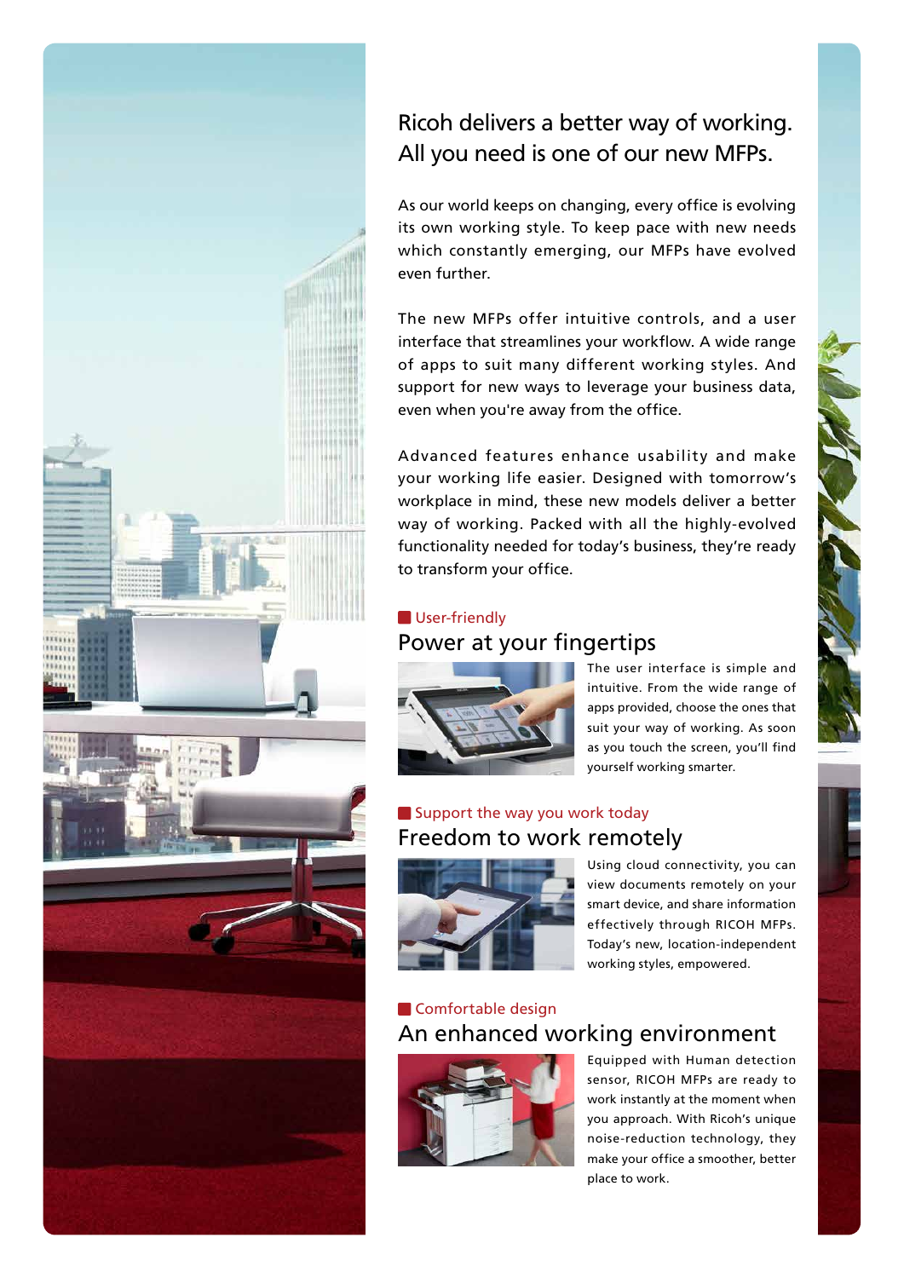

## Ricoh delivers a better way of working. All you need is one of our new MFPs.

As our world keeps on changing, every office is evolving its own working style. To keep pace with new needs which constantly emerging, our MFPs have evolved even further.

The new MFPs offer intuitive controls, and a user interface that streamlines your workflow. A wide range of apps to suit many different working styles. And support for new ways to leverage your business data, even when you're away from the office.

Advanced features enhance usability and make your working life easier. Designed with tomorrow's workplace in mind, these new models deliver a better way of working. Packed with all the highly-evolved functionality needed for today's business, they're ready to transform your office.

#### Power at your fingertips User-friendly



The user interface is simple and intuitive. From the wide range of apps provided, choose the ones that suit your way of working. As soon as you touch the screen, you'll find yourself working smarter.

### Freedom to work remotely Support the way you work today



Using cloud connectivity, you can view documents remotely on your smart device, and share information effectively through RICOH MFPs. Today's new, location-independent working styles, empowered.

### An enhanced working environment **Comfortable design**



Equipped with Human detection sensor, RICOH MFPs are ready to work instantly at the moment when you approach. With Ricoh's unique noise-reduction technology, they make your office a smoother, better place to work.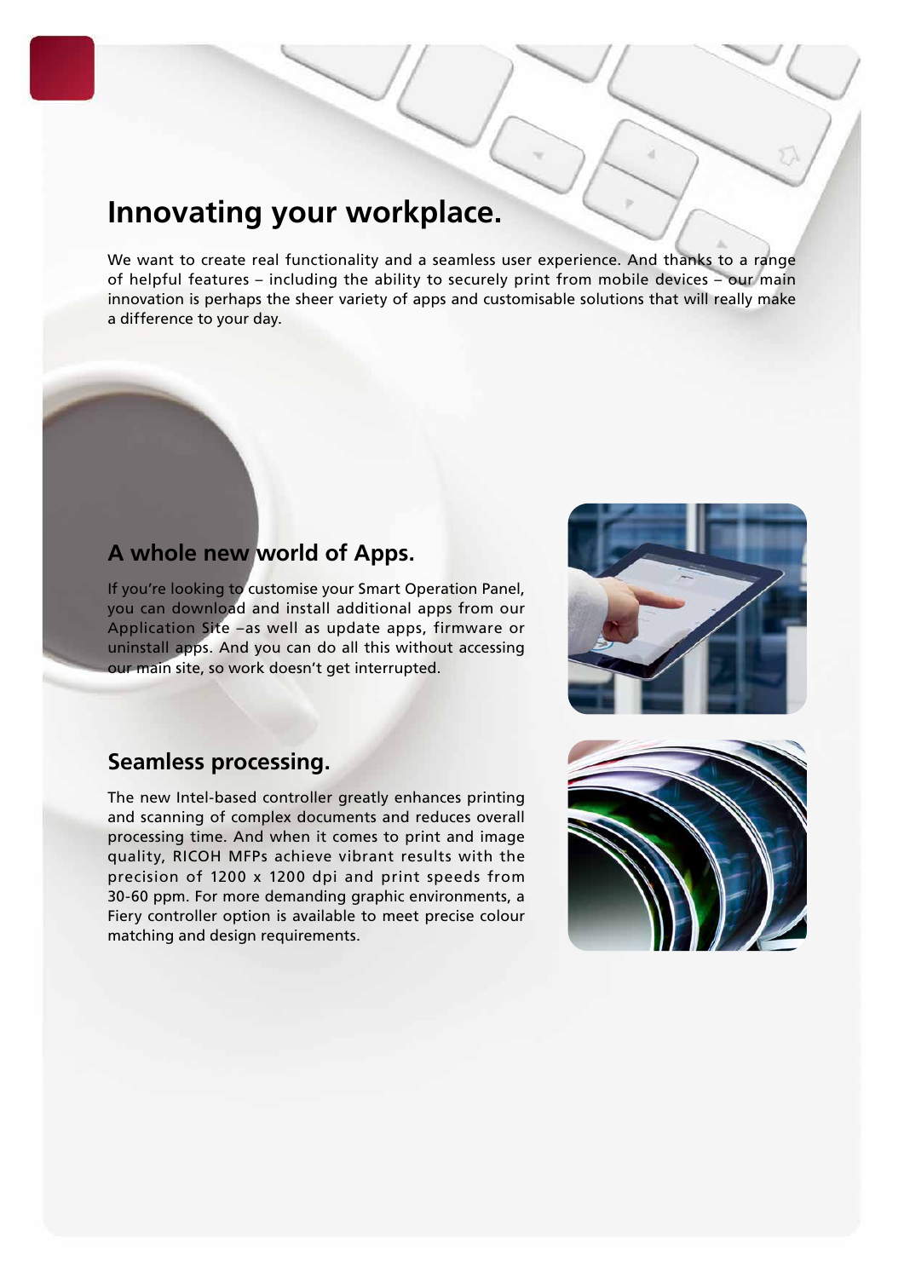## **Innovating your workplace.**

We want to create real functionality and a seamless user experience. And thanks to a range of helpful features – including the ability to securely print from mobile devices – our main innovation is perhaps the sheer variety of apps and customisable solutions that will really make a difference to your day.

#### **A whole new world of Apps.**

If you're looking to customise your Smart Operation Panel, you can download and install additional apps from our Application Site –as well as update apps, firmware or uninstall apps. And you can do all this without accessing our main site, so work doesn't get interrupted.



#### **Seamless processing.**

The new Intel-based controller greatly enhances printing and scanning of complex documents and reduces overall processing time. And when it comes to print and image quality, RICOH MFPs achieve vibrant results with the precision of 1200 x 1200 dpi and print speeds from 30-60 ppm. For more demanding graphic environments, a Fiery controller option is available to meet precise colour matching and design requirements.

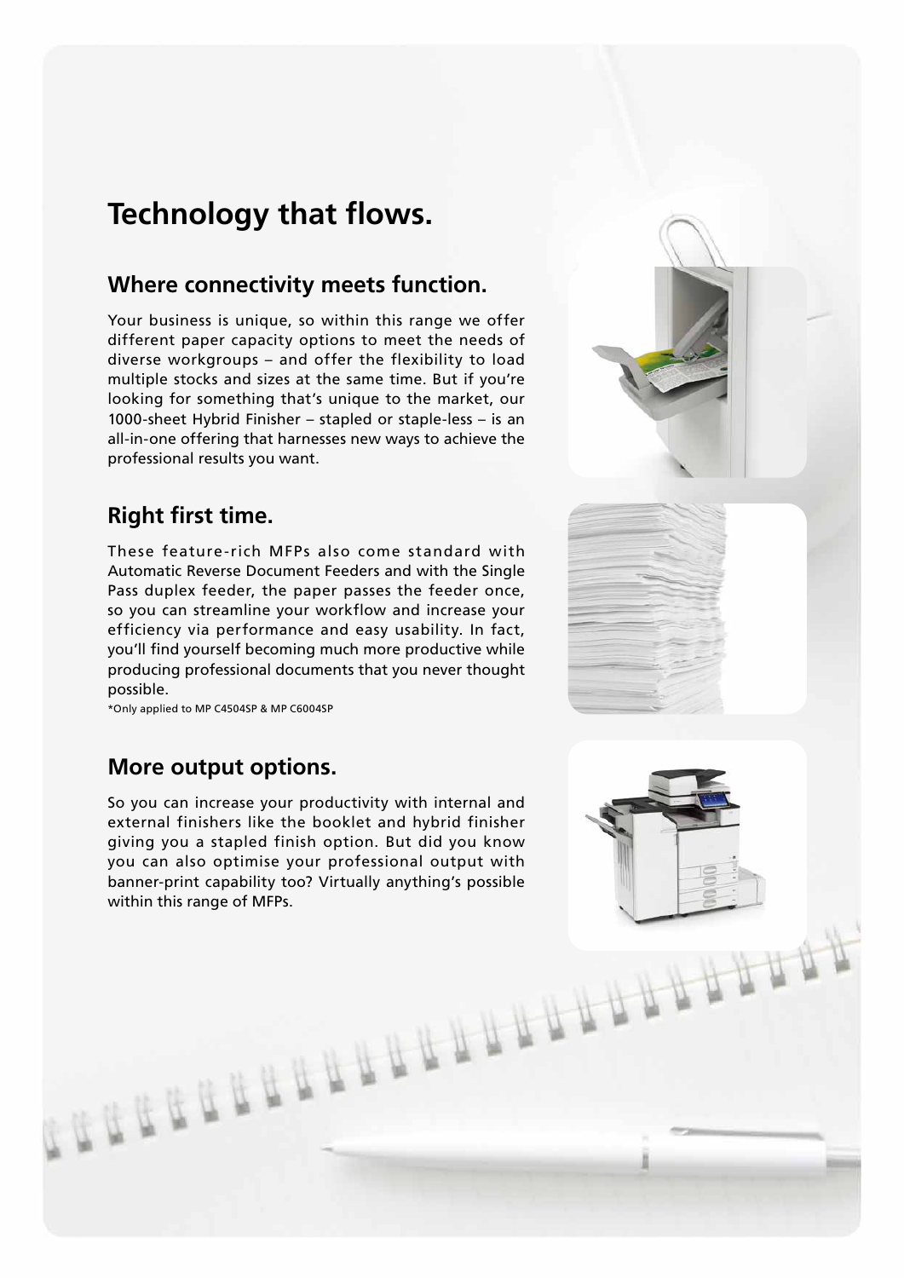## **Technology that flows.**

#### **Where connectivity meets function.**

Your business is unique, so within this range we offer different paper capacity options to meet the needs of diverse workgroups – and offer the flexibility to load multiple stocks and sizes at the same time. But if you're looking for something that's unique to the market, our 1000-sheet Hybrid Finisher – stapled or staple-less – is an all-in-one offering that harnesses new ways to achieve the professional results you want.

## **Right first time.**

These feature-rich MFPs also come standard with Automatic Reverse Document Feeders and with the Single Pass duplex feeder, the paper passes the feeder once, so you can streamline your workflow and increase your efficiency via performance and easy usability. In fact, you'll find yourself becoming much more productive while producing professional documents that you never thought possible.

\*Only applied to MP C4504SP & MP C6004SP

#### **More output options.**

So you can increase your productivity with internal and external finishers like the booklet and hybrid finisher giving you a stapled finish option. But did you know you can also optimise your professional output with banner-print capability too? Virtually anything's possible within this range of MFPs.

**GEREERIALEE**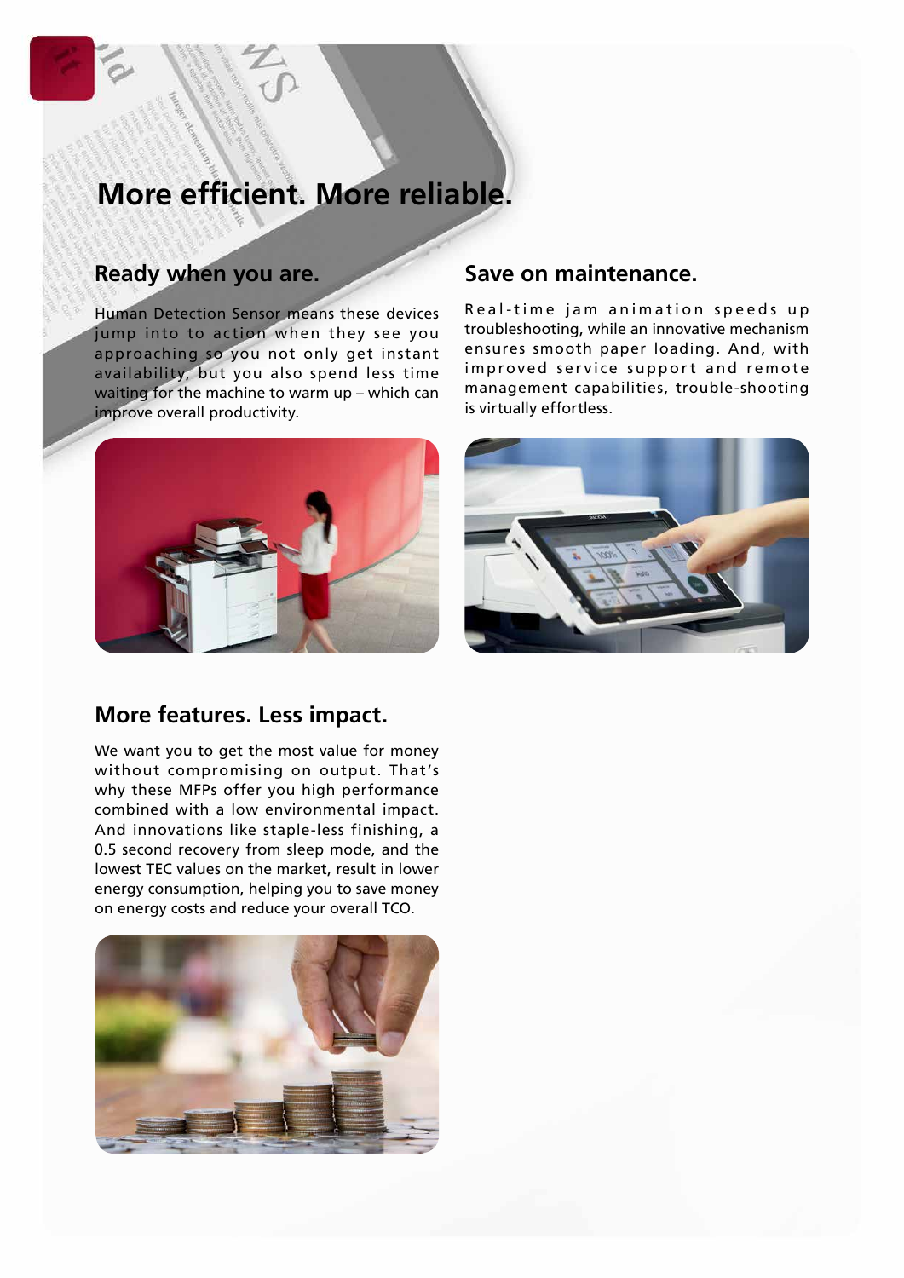# **More efficient. More reliable.**

#### **Ready when you are.**

Human Detection Sensor means these devices jump into to action when they see you approaching so you not only get instant availability, but you also spend less time waiting for the machine to warm up – which can improve overall productivity.



#### **More features. Less impact.**

We want you to get the most value for money without compromising on output. That's why these MFPs offer you high performance combined with a low environmental impact. And innovations like staple-less finishing, a 0.5 second recovery from sleep mode, and the lowest TEC values on the market, result in lower energy consumption, helping you to save money on energy costs and reduce your overall TCO.



#### **Save on maintenance.**

Real-time jam animation speeds up troubleshooting, while an innovative mechanism ensures smooth paper loading. And, with improved service support and remote management capabilities, trouble-shooting is virtually effortless.

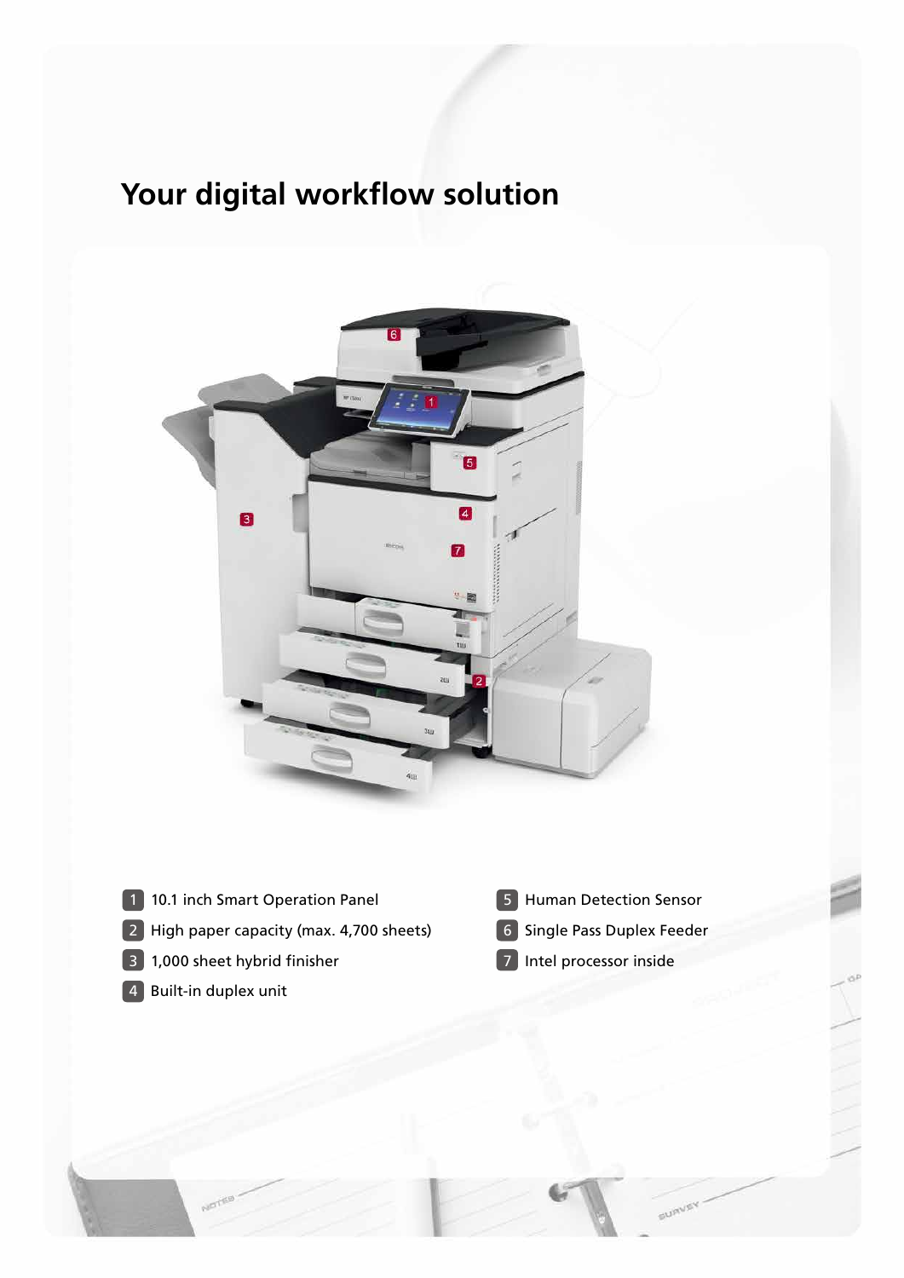# **Your digital workflow solution**



- 1 10.1 inch Smart Operation Panel
- High paper capacity (max. 4,700 sheets)
- 1,000 sheet hybrid finisher
- Built-in duplex unit
- Human Detection Sensor
- Single Pass Duplex Feeder

**BURVE** 

Intel processor inside